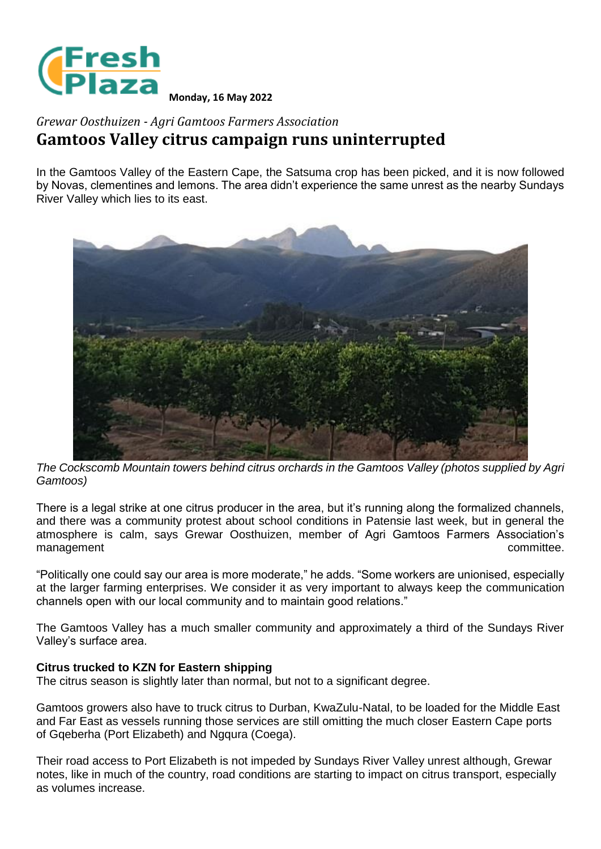

**Monday, 16 May 2022**

## *Grewar Oosthuizen - Agri Gamtoos Farmers Association* **Gamtoos Valley citrus campaign runs uninterrupted**

In the Gamtoos Valley of the Eastern Cape, the Satsuma crop has been picked, and it is now followed by Novas, clementines and lemons. The area didn't experience the same unrest as the nearby Sundays River Valley which lies to its east.



*The Cockscomb Mountain towers behind citrus orchards in the Gamtoos Valley (photos supplied by Agri Gamtoos)*

There is a legal strike at one citrus producer in the area, but it's running along the formalized channels, and there was a community protest about school conditions in Patensie last week, but in general the atmosphere is calm, says Grewar Oosthuizen, member of Agri Gamtoos Farmers Association's management committee.

"Politically one could say our area is more moderate," he adds. "Some workers are unionised, especially at the larger farming enterprises. We consider it as very important to always keep the communication channels open with our local community and to maintain good relations."

The Gamtoos Valley has a much smaller community and approximately a third of the Sundays River Valley's surface area.

## **Citrus trucked to KZN for Eastern shipping**

The citrus season is slightly later than normal, but not to a significant degree.

Gamtoos growers also have to truck citrus to Durban, KwaZulu-Natal, to be loaded for the Middle East and Far East as vessels running those services are still omitting the much closer Eastern Cape ports of Gqeberha (Port Elizabeth) and Ngqura (Coega).

Their road access to Port Elizabeth is not impeded by Sundays River Valley unrest although, Grewar notes, like in much of the country, road conditions are starting to impact on citrus transport, especially as volumes increase.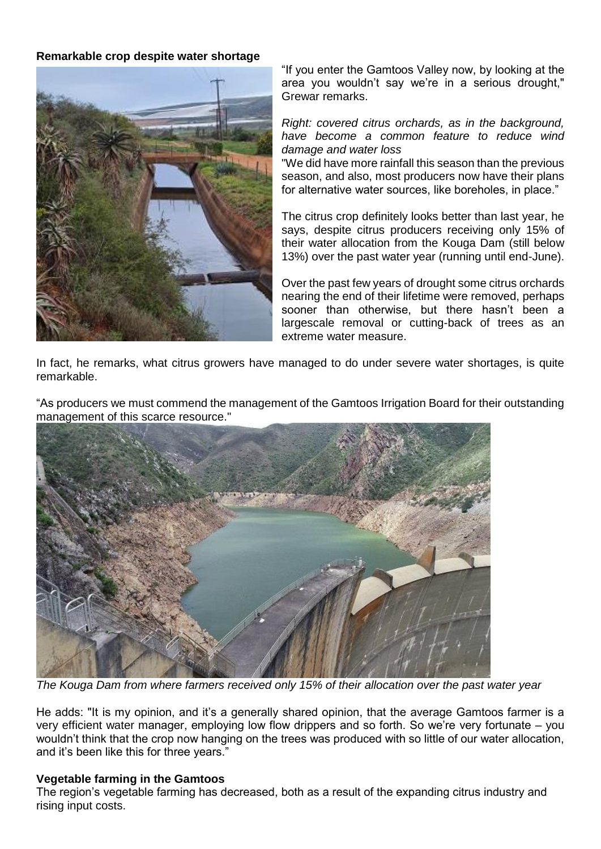## **Remarkable crop despite water shortage**



"If you enter the Gamtoos Valley now, by looking at the area you wouldn't say we're in a serious drought," Grewar remarks.

*Right: covered citrus orchards, as in the background, have become a common feature to reduce wind damage and water loss*

"We did have more rainfall this season than the previous season, and also, most producers now have their plans for alternative water sources, like boreholes, in place."

The citrus crop definitely looks better than last year, he says, despite citrus producers receiving only 15% of their water allocation from the Kouga Dam (still below 13%) over the past water year (running until end-June).

Over the past few years of drought some citrus orchards nearing the end of their lifetime were removed, perhaps sooner than otherwise, but there hasn't been a largescale removal or cutting-back of trees as an extreme water measure.

In fact, he remarks, what citrus growers have managed to do under severe water shortages, is quite remarkable.

"As producers we must commend the management of the Gamtoos Irrigation Board for their outstanding management of this scarce resource."



*The Kouga Dam from where farmers received only 15% of their allocation over the past water year*

He adds: "It is my opinion, and it's a generally shared opinion, that the average Gamtoos farmer is a very efficient water manager, employing low flow drippers and so forth. So we're very fortunate – you wouldn't think that the crop now hanging on the trees was produced with so little of our water allocation, and it's been like this for three years."

## **Vegetable farming in the Gamtoos**

The region's vegetable farming has decreased, both as a result of the expanding citrus industry and rising input costs.